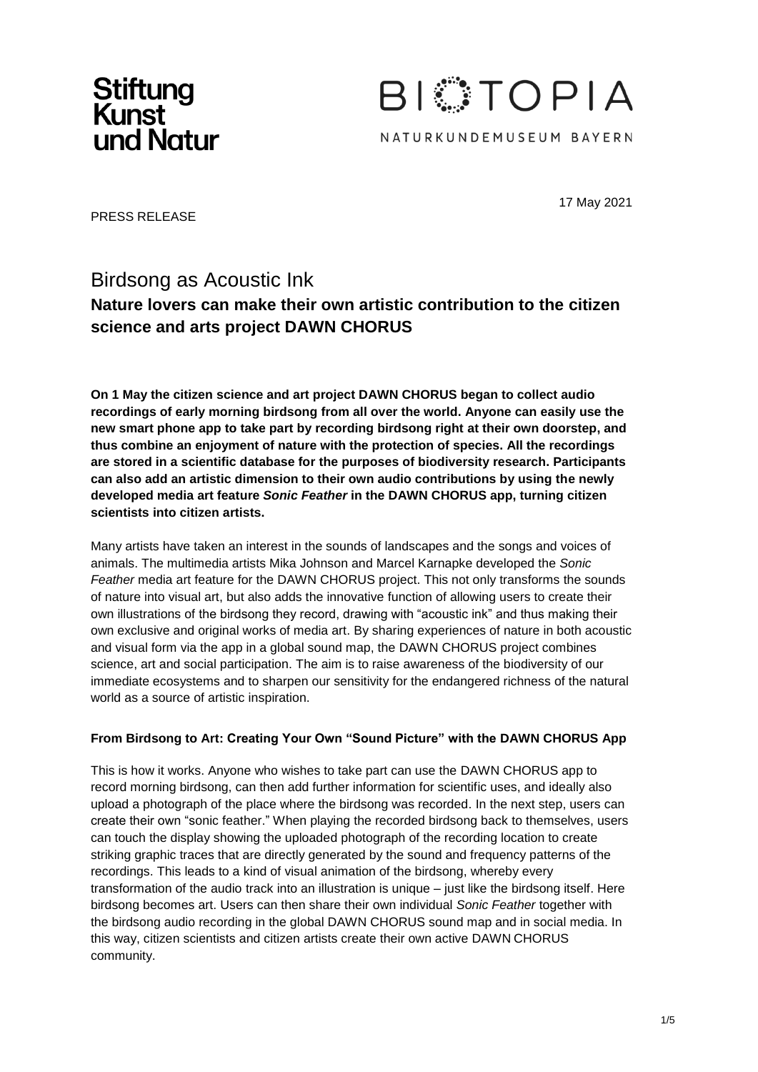



17 May 2021

PRESS RELEASE

## Birdsong as Acoustic Ink

### **Nature lovers can make their own artistic contribution to the citizen science and arts project DAWN CHORUS**

**On 1 May the citizen science and art project DAWN CHORUS began to collect audio recordings of early morning birdsong from all over the world. Anyone can easily use the new smart phone app to take part by recording birdsong right at their own doorstep, and thus combine an enjoyment of nature with the protection of species. All the recordings are stored in a scientific database for the purposes of biodiversity research. Participants can also add an artistic dimension to their own audio contributions by using the newly developed media art feature** *Sonic Feather* **in the DAWN CHORUS app, turning citizen scientists into citizen artists.**

Many artists have taken an interest in the sounds of landscapes and the songs and voices of animals. The multimedia artists Mika Johnson and Marcel Karnapke developed the *Sonic Feather* media art feature for the DAWN CHORUS project. This not only transforms the sounds of nature into visual art, but also adds the innovative function of allowing users to create their own illustrations of the birdsong they record, drawing with "acoustic ink" and thus making their own exclusive and original works of media art. By sharing experiences of nature in both acoustic and visual form via the app in a global sound map, the DAWN CHORUS project combines science, art and social participation. The aim is to raise awareness of the biodiversity of our immediate ecosystems and to sharpen our sensitivity for the endangered richness of the natural world as a source of artistic inspiration.

#### **From Birdsong to Art: Creating Your Own "Sound Picture" with the DAWN CHORUS App**

This is how it works. Anyone who wishes to take part can use the DAWN CHORUS app to record morning birdsong, can then add further information for scientific uses, and ideally also upload a photograph of the place where the birdsong was recorded. In the next step, users can create their own "sonic feather." When playing the recorded birdsong back to themselves, users can touch the display showing the uploaded photograph of the recording location to create striking graphic traces that are directly generated by the sound and frequency patterns of the recordings. This leads to a kind of visual animation of the birdsong, whereby every transformation of the audio track into an illustration is unique – just like the birdsong itself. Here birdsong becomes art. Users can then share their own individual *Sonic Feather* together with the birdsong audio recording in the global DAWN CHORUS sound map and in social media. In this way, citizen scientists and citizen artists create their own active DAWN CHORUS community.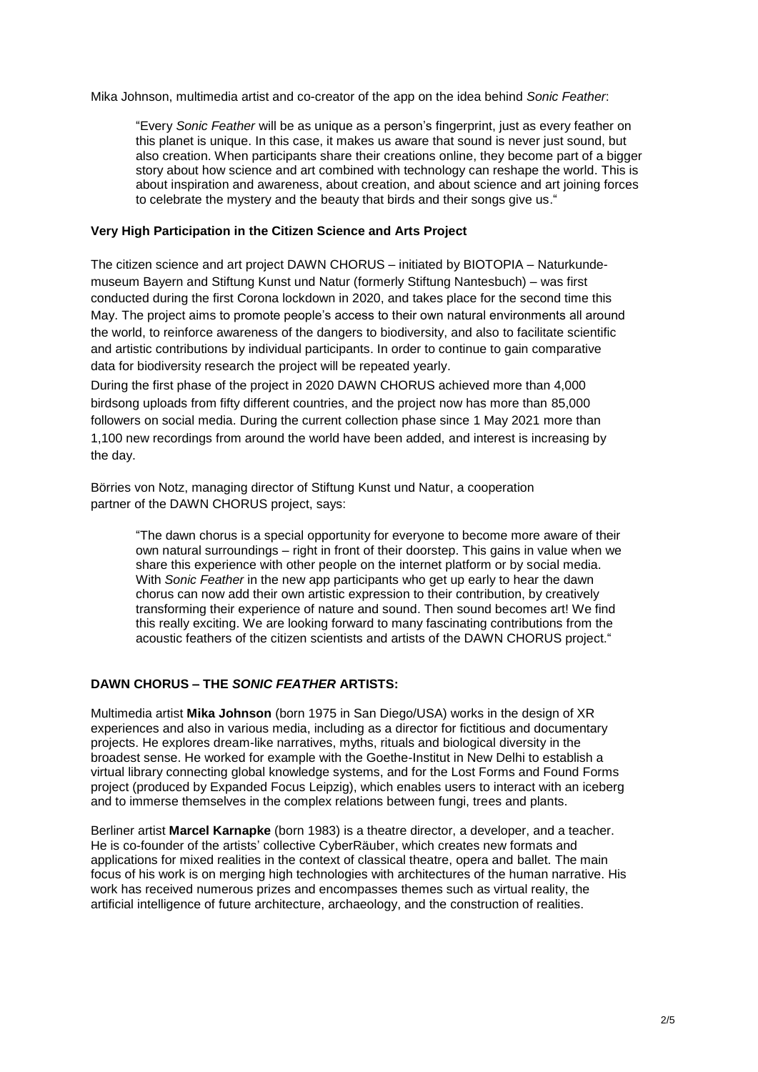Mika Johnson, multimedia artist and co-creator of the app on the idea behind *Sonic Feather*:

"Every *Sonic Feather* will be as unique as a person's fingerprint, just as every feather on this planet is unique. In this case, it makes us aware that sound is never just sound, but also creation. When participants share their creations online, they become part of a bigger story about how science and art combined with technology can reshape the world. This is about inspiration and awareness, about creation, and about science and art joining forces to celebrate the mystery and the beauty that birds and their songs give us."

#### **Very High Participation in the Citizen Science and Arts Project**

The citizen science and art project DAWN CHORUS – initiated by BIOTOPIA – Naturkundemuseum Bayern and Stiftung Kunst und Natur (formerly Stiftung Nantesbuch) – was first conducted during the first Corona lockdown in 2020, and takes place for the second time this May. The project aims to promote people's access to their own natural environments all around the world, to reinforce awareness of the dangers to biodiversity, and also to facilitate scientific and artistic contributions by individual participants. In order to continue to gain comparative data for biodiversity research the project will be repeated yearly.

During the first phase of the project in 2020 DAWN CHORUS achieved more than 4,000 birdsong uploads from fifty different countries, and the project now has more than 85,000 followers on social media. During the current collection phase since 1 May 2021 more than 1,100 new recordings from around the world have been added, and interest is increasing by the day.

Börries von Notz, managing director of Stiftung Kunst und Natur, a cooperation partner of the DAWN CHORUS project, says:

"The dawn chorus is a special opportunity for everyone to become more aware of their own natural surroundings – right in front of their doorstep. This gains in value when we share this experience with other people on the internet platform or by social media. With *Sonic Feather* in the new app participants who get up early to hear the dawn chorus can now add their own artistic expression to their contribution, by creatively transforming their experience of nature and sound. Then sound becomes art! We find this really exciting. We are looking forward to many fascinating contributions from the acoustic feathers of the citizen scientists and artists of the DAWN CHORUS project."

#### **DAWN CHORUS – THE** *SONIC FEATHER* **ARTISTS:**

Multimedia artist **Mika Johnson** (born 1975 in San Diego/USA) works in the design of XR experiences and also in various media, including as a director for fictitious and documentary projects. He explores dream-like narratives, myths, rituals and biological diversity in the broadest sense. He worked for example with the Goethe-Institut in New Delhi to establish a virtual library connecting global knowledge systems, and for the Lost Forms and Found Forms project (produced by Expanded Focus Leipzig), which enables users to interact with an iceberg and to immerse themselves in the complex relations between fungi, trees and plants.

Berliner artist **Marcel Karnapke** (born 1983) is a theatre director, a developer, and a teacher. He is co-founder of the artists' collective CyberRäuber, which creates new formats and applications for mixed realities in the context of classical theatre, opera and ballet. The main focus of his work is on merging high technologies with architectures of the human narrative. His work has received numerous prizes and encompasses themes such as virtual reality, the artificial intelligence of future architecture, archaeology, and the construction of realities.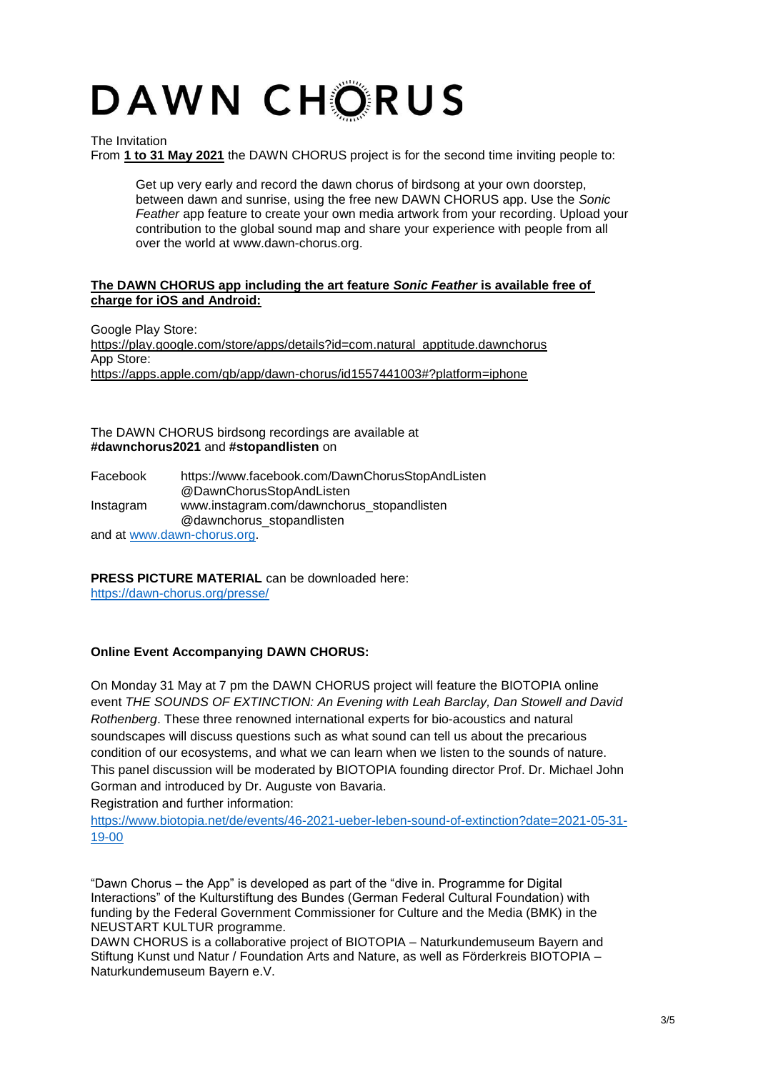# DAWN CHORUS

The Invitation

From **1 to 31 May 2021** the DAWN CHORUS project is for the second time inviting people to:

Get up very early and record the dawn chorus of birdsong at your own doorstep, between dawn and sunrise, using the free new DAWN CHORUS app. Use the *Sonic Feather* app feature to create your own media artwork from your recording. Upload your contribution to the global sound map and share your experience with people from all over the world at [www.dawn-chorus.org.](http://www.dawn-chorus.org/)

#### **The DAWN CHORUS app including the art feature** *Sonic Feather* **is available free of charge for iOS and Android:**

Google Play Store: https://play.google.com/store/apps/details?id=com.natural\_apptitude.dawnchorus App Store: https://apps.apple.com/gb/app/dawn-chorus/id1557441003#?platform=iphone

The DAWN CHORUS birdsong recordings are available at **#dawnchorus2021** and **#stopandlisten** on

| Facebook  | https://www.facebook.com/DawnChorusStopAndListen |
|-----------|--------------------------------------------------|
|           | @DawnChorusStopAndListen                         |
| Instagram | www.instagram.com/dawnchorus stopandlisten       |
|           | @dawnchorus_stopandlisten                        |
|           | and at www.dawn-chorus.org.                      |

**PRESS PICTURE MATERIAL** can be downloaded here:

https://dawn-chorus.org/presse/

#### **Online Event Accompanying DAWN CHORUS:**

On Monday 31 May at 7 pm the DAWN CHORUS project will feature the BIOTOPIA online event *THE SOUNDS OF EXTINCTION: An Evening with Leah Barclay, Dan Stowell and David Rothenberg*. These three renowned international experts for bio-acoustics and natural soundscapes will discuss questions such as what sound can tell us about the precarious condition of our ecosystems, and what we can learn when we listen to the sounds of nature. This panel discussion will be moderated by BIOTOPIA founding director Prof. Dr. Michael John Gorman and introduced by Dr. Auguste von Bavaria.

Registration and further information:

https:/[/www.biotopia.net/de/events/46-2021-ueber-leben-sound-of-extinction?date=2021-05-31-](http://www.biotopia.net/de/events/46-2021-ueber-leben-sound-of-extinction?date=2021-05-31-) 19-00

"Dawn Chorus – the App" is developed as part of the "dive in. Programme for Digital Interactions" of the Kulturstiftung des Bundes (German Federal Cultural Foundation) with funding by the Federal Government Commissioner for Culture and the Media (BMK) in the NEUSTART KULTUR programme.

DAWN CHORUS is a collaborative project of BIOTOPIA – Naturkundemuseum Bayern and Stiftung Kunst und Natur / Foundation Arts and Nature, as well as Förderkreis BIOTOPIA – Naturkundemuseum Bayern e.V.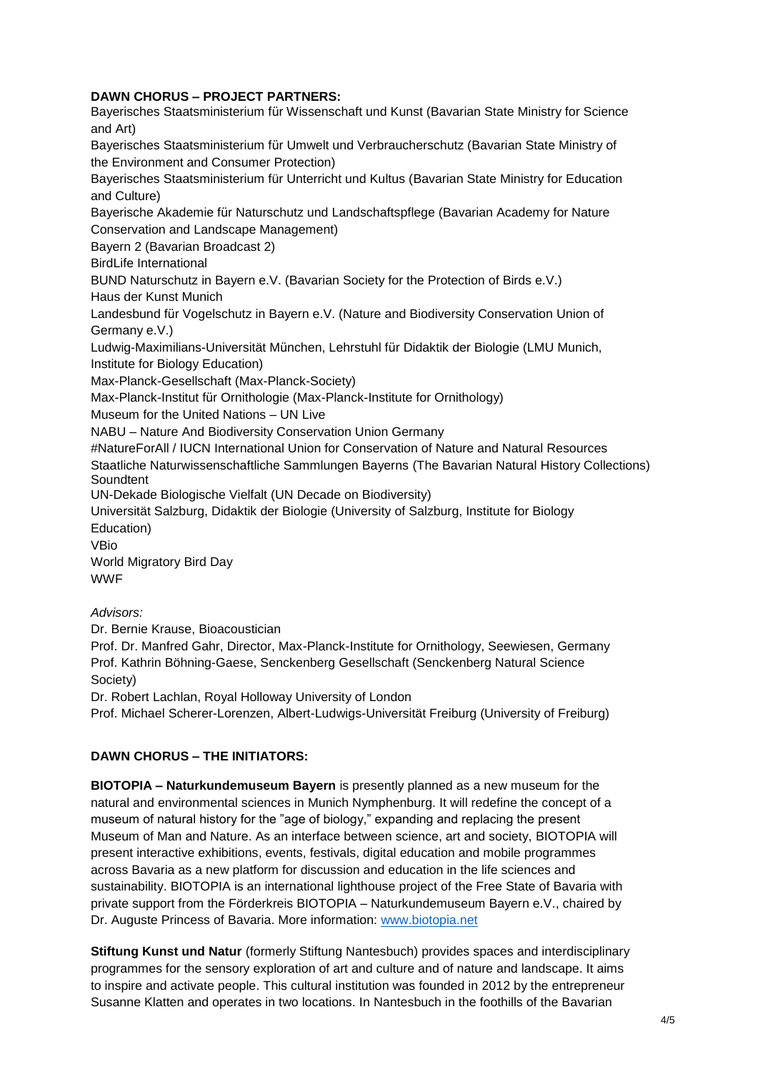#### **DAWN CHORUS – PROJECT PARTNERS:**

Bayerisches Staatsministerium für Wissenschaft und Kunst (Bavarian State Ministry for Science and Art) Bayerisches Staatsministerium für Umwelt und Verbraucherschutz (Bavarian State Ministry of the Environment and Consumer Protection) Bayerisches Staatsministerium für Unterricht und Kultus (Bavarian State Ministry for Education and Culture) Bayerische Akademie für Naturschutz und Landschaftspflege (Bavarian Academy for Nature Conservation and Landscape Management) Bayern 2 (Bavarian Broadcast 2) BirdLife International BUND Naturschutz in Bayern e.V. (Bavarian Society for the Protection of Birds e.V.) Haus der Kunst Munich Landesbund für Vogelschutz in Bayern e.V. (Nature and Biodiversity Conservation Union of Germany e.V.) Ludwig-Maximilians-Universität München, Lehrstuhl für Didaktik der Biologie (LMU Munich, Institute for Biology Education) Max-Planck-Gesellschaft (Max-Planck-Society) Max-Planck-Institut für Ornithologie (Max-Planck-Institute for Ornithology) Museum for the United Nations – UN Live NABU – Nature And Biodiversity Conservation Union Germany #NatureForAll / IUCN International Union for Conservation of Nature and Natural Resources Staatliche Naturwissenschaftliche Sammlungen Bayerns (The Bavarian Natural History Collections) **Soundtent** UN-Dekade Biologische Vielfalt (UN Decade on Biodiversity) Universität Salzburg, Didaktik der Biologie (University of Salzburg, Institute for Biology Education) VBio World Migratory Bird Day WWF *Advisors:*

Dr. Bernie Krause, Bioacoustician

Prof. Dr. Manfred Gahr, Director, Max-Planck-Institute for Ornithology, Seewiesen, Germany Prof. Kathrin Böhning-Gaese, Senckenberg Gesellschaft (Senckenberg Natural Science Society)

Dr. Robert Lachlan, Royal Holloway University of London

Prof. Michael Scherer-Lorenzen, Albert-Ludwigs-Universität Freiburg (University of Freiburg)

#### **DAWN CHORUS – THE INITIATORS:**

**BIOTOPIA – Naturkundemuseum Bayern** is presently planned as a new museum for the natural and environmental sciences in Munich Nymphenburg. It will redefine the concept of a museum of natural history for the "age of biology," expanding and replacing the present Museum of Man and Nature. As an interface between science, art and society, BIOTOPIA will present interactive exhibitions, events, festivals, digital education and mobile programmes across Bavaria as a new platform for discussion and education in the life sciences and sustainability. BIOTOPIA is an international lighthouse project of the Free State of Bavaria with private support from the Förderkreis BIOTOPIA – Naturkundemuseum Bayern e.V., chaired by Dr. Auguste Princess of Bavaria. More information: [www.biotopia.net](http://www.biotopia.net/)

**Stiftung Kunst und Natur** (formerly Stiftung Nantesbuch) provides spaces and interdisciplinary programmes for the sensory exploration of art and culture and of nature and landscape. It aims to inspire and activate people. This cultural institution was founded in 2012 by the entrepreneur Susanne Klatten and operates in two locations. In Nantesbuch in the foothills of the Bavarian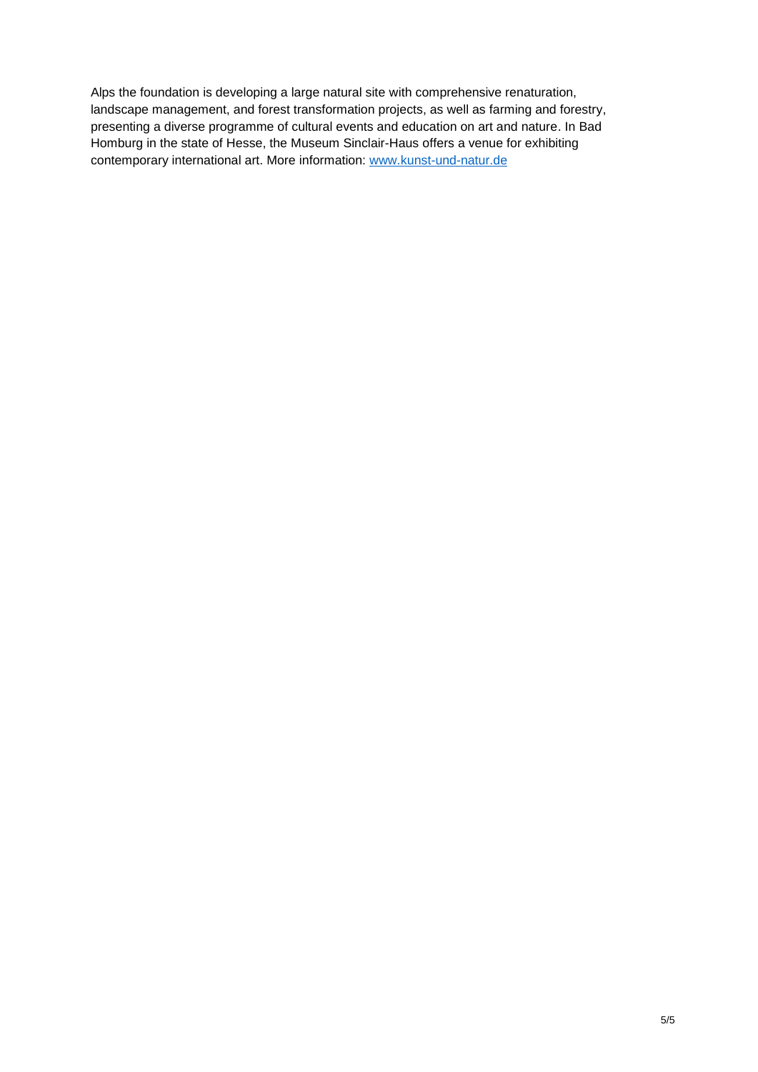Alps the foundation is developing a large natural site with comprehensive renaturation, landscape management, and forest transformation projects, as well as farming and forestry, presenting a diverse programme of cultural events and education on art and nature. In Bad Homburg in the state of Hesse, the Museum Sinclair-Haus offers a venue for exhibiting contemporary international art. More information: [www.kunst-und-natur.de](http://www.kunst-und-natur.de/)